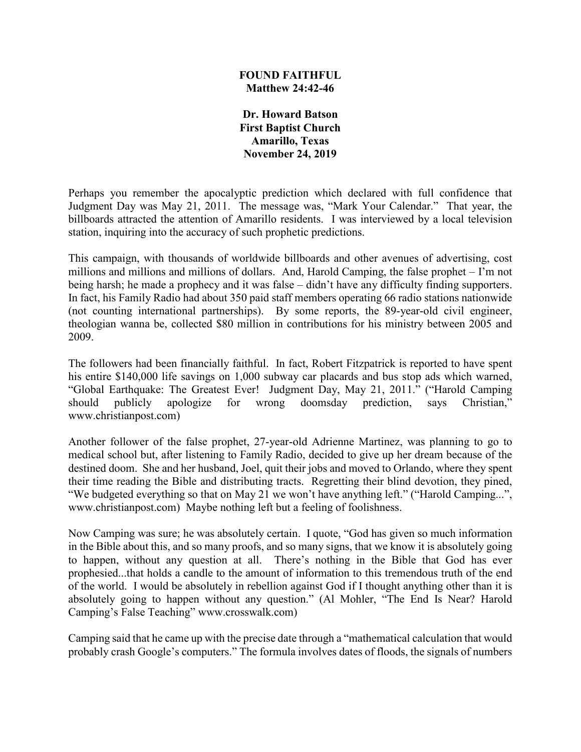### **FOUND FAITHFUL Matthew 24:42-46**

**Dr. Howard Batson First Baptist Church Amarillo, Texas November 24, 2019**

Perhaps you remember the apocalyptic prediction which declared with full confidence that Judgment Day was May 21, 2011. The message was, "Mark Your Calendar." That year, the billboards attracted the attention of Amarillo residents. I was interviewed by a local television station, inquiring into the accuracy of such prophetic predictions.

This campaign, with thousands of worldwide billboards and other avenues of advertising, cost millions and millions and millions of dollars. And, Harold Camping, the false prophet – I'm not being harsh; he made a prophecy and it was false – didn't have any difficulty finding supporters. In fact, his Family Radio had about 350 paid staff members operating 66 radio stations nationwide (not counting international partnerships). By some reports, the 89-year-old civil engineer, theologian wanna be, collected \$80 million in contributions for his ministry between 2005 and 2009.

The followers had been financially faithful. In fact, Robert Fitzpatrick is reported to have spent his entire \$140,000 life savings on 1,000 subway car placards and bus stop ads which warned, "Global Earthquake: The Greatest Ever! Judgment Day, May 21, 2011." ("Harold Camping should publicly apologize for wrong doomsday prediction, says Christian," www.christianpost.com)

Another follower of the false prophet, 27-year-old Adrienne Martinez, was planning to go to medical school but, after listening to Family Radio, decided to give up her dream because of the destined doom. She and her husband, Joel, quit their jobs and moved to Orlando, where they spent their time reading the Bible and distributing tracts. Regretting their blind devotion, they pined, "We budgeted everything so that on May 21 we won't have anything left." ("Harold Camping...", www.christianpost.com) Maybe nothing left but a feeling of foolishness.

Now Camping was sure; he was absolutely certain. I quote, "God has given so much information in the Bible about this, and so many proofs, and so many signs, that we know it is absolutely going to happen, without any question at all. There's nothing in the Bible that God has ever prophesied...that holds a candle to the amount of information to this tremendous truth of the end of the world. I would be absolutely in rebellion against God if I thought anything other than it is absolutely going to happen without any question." (Al Mohler, "The End Is Near? Harold Camping's False Teaching" www.crosswalk.com)

Camping said that he came up with the precise date through a "mathematical calculation that would probably crash Google's computers." The formula involves dates of floods, the signals of numbers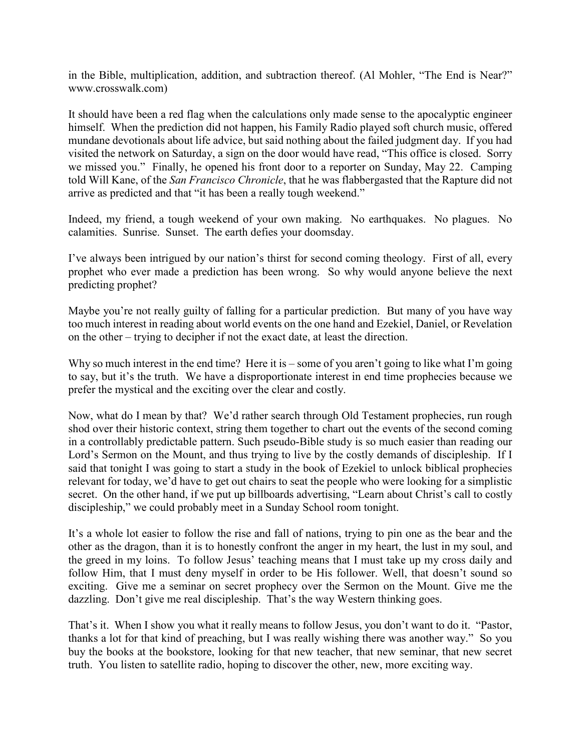in the Bible, multiplication, addition, and subtraction thereof. (Al Mohler, "The End is Near?" www.crosswalk.com)

It should have been a red flag when the calculations only made sense to the apocalyptic engineer himself. When the prediction did not happen, his Family Radio played soft church music, offered mundane devotionals about life advice, but said nothing about the failed judgment day. If you had visited the network on Saturday, a sign on the door would have read, "This office is closed. Sorry we missed you." Finally, he opened his front door to a reporter on Sunday, May 22. Camping told Will Kane, of the *San Francisco Chronicle*, that he was flabbergasted that the Rapture did not arrive as predicted and that "it has been a really tough weekend."

Indeed, my friend, a tough weekend of your own making. No earthquakes. No plagues. No calamities. Sunrise. Sunset. The earth defies your doomsday.

I've always been intrigued by our nation's thirst for second coming theology. First of all, every prophet who ever made a prediction has been wrong. So why would anyone believe the next predicting prophet?

Maybe you're not really guilty of falling for a particular prediction. But many of you have way too much interest in reading about world events on the one hand and Ezekiel, Daniel, or Revelation on the other – trying to decipher if not the exact date, at least the direction.

Why so much interest in the end time? Here it is – some of you aren't going to like what I'm going to say, but it's the truth. We have a disproportionate interest in end time prophecies because we prefer the mystical and the exciting over the clear and costly.

Now, what do I mean by that? We'd rather search through Old Testament prophecies, run rough shod over their historic context, string them together to chart out the events of the second coming in a controllably predictable pattern. Such pseudo-Bible study is so much easier than reading our Lord's Sermon on the Mount, and thus trying to live by the costly demands of discipleship. If I said that tonight I was going to start a study in the book of Ezekiel to unlock biblical prophecies relevant for today, we'd have to get out chairs to seat the people who were looking for a simplistic secret. On the other hand, if we put up billboards advertising, "Learn about Christ's call to costly discipleship," we could probably meet in a Sunday School room tonight.

It's a whole lot easier to follow the rise and fall of nations, trying to pin one as the bear and the other as the dragon, than it is to honestly confront the anger in my heart, the lust in my soul, and the greed in my loins. To follow Jesus' teaching means that I must take up my cross daily and follow Him, that I must deny myself in order to be His follower. Well, that doesn't sound so exciting. Give me a seminar on secret prophecy over the Sermon on the Mount. Give me the dazzling. Don't give me real discipleship. That's the way Western thinking goes.

That's it. When I show you what it really means to follow Jesus, you don't want to do it. "Pastor, thanks a lot for that kind of preaching, but I was really wishing there was another way." So you buy the books at the bookstore, looking for that new teacher, that new seminar, that new secret truth. You listen to satellite radio, hoping to discover the other, new, more exciting way.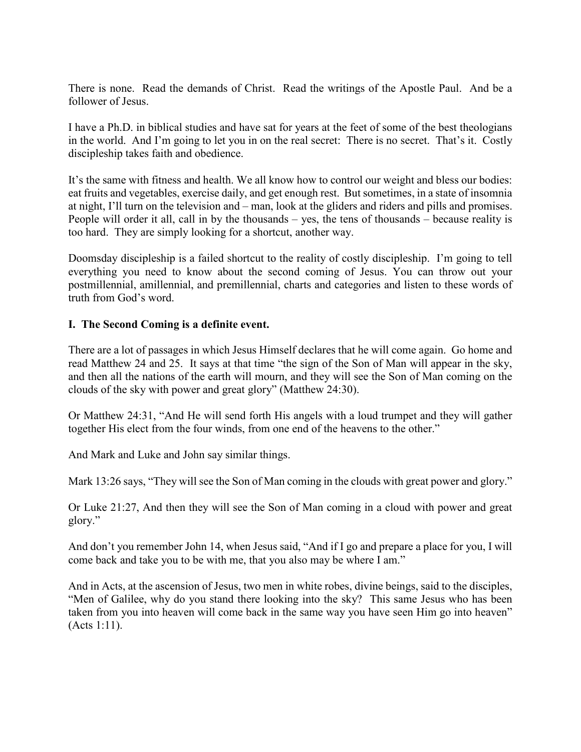There is none. Read the demands of Christ. Read the writings of the Apostle Paul. And be a follower of Jesus.

I have a Ph.D. in biblical studies and have sat for years at the feet of some of the best theologians in the world. And I'm going to let you in on the real secret: There is no secret. That's it. Costly discipleship takes faith and obedience.

It's the same with fitness and health. We all know how to control our weight and bless our bodies: eat fruits and vegetables, exercise daily, and get enough rest. But sometimes, in a state of insomnia at night, I'll turn on the television and – man, look at the gliders and riders and pills and promises. People will order it all, call in by the thousands – yes, the tens of thousands – because reality is too hard. They are simply looking for a shortcut, another way.

Doomsday discipleship is a failed shortcut to the reality of costly discipleship. I'm going to tell everything you need to know about the second coming of Jesus. You can throw out your postmillennial, amillennial, and premillennial, charts and categories and listen to these words of truth from God's word.

### **I. The Second Coming is a definite event.**

There are a lot of passages in which Jesus Himself declares that he will come again. Go home and read Matthew 24 and 25. It says at that time "the sign of the Son of Man will appear in the sky, and then all the nations of the earth will mourn, and they will see the Son of Man coming on the clouds of the sky with power and great glory" (Matthew 24:30).

Or Matthew 24:31, "And He will send forth His angels with a loud trumpet and they will gather together His elect from the four winds, from one end of the heavens to the other."

And Mark and Luke and John say similar things.

Mark 13:26 says, "They will see the Son of Man coming in the clouds with great power and glory."

Or Luke 21:27, And then they will see the Son of Man coming in a cloud with power and great glory."

And don't you remember John 14, when Jesus said, "And if I go and prepare a place for you, I will come back and take you to be with me, that you also may be where I am."

And in Acts, at the ascension of Jesus, two men in white robes, divine beings, said to the disciples, "Men of Galilee, why do you stand there looking into the sky? This same Jesus who has been taken from you into heaven will come back in the same way you have seen Him go into heaven" (Acts 1:11).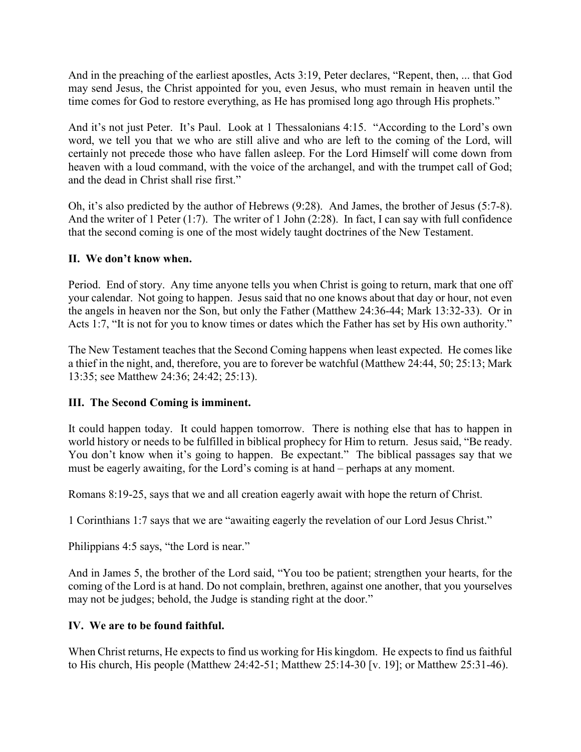And in the preaching of the earliest apostles, Acts 3:19, Peter declares, "Repent, then, ... that God may send Jesus, the Christ appointed for you, even Jesus, who must remain in heaven until the time comes for God to restore everything, as He has promised long ago through His prophets."

And it's not just Peter. It's Paul. Look at 1 Thessalonians 4:15. "According to the Lord's own word, we tell you that we who are still alive and who are left to the coming of the Lord, will certainly not precede those who have fallen asleep. For the Lord Himself will come down from heaven with a loud command, with the voice of the archangel, and with the trumpet call of God; and the dead in Christ shall rise first."

Oh, it's also predicted by the author of Hebrews (9:28). And James, the brother of Jesus (5:7-8). And the writer of 1 Peter (1:7). The writer of 1 John (2:28). In fact, I can say with full confidence that the second coming is one of the most widely taught doctrines of the New Testament.

# **II. We don't know when.**

Period. End of story. Any time anyone tells you when Christ is going to return, mark that one off your calendar. Not going to happen. Jesus said that no one knows about that day or hour, not even the angels in heaven nor the Son, but only the Father (Matthew 24:36-44; Mark 13:32-33). Or in Acts 1:7, "It is not for you to know times or dates which the Father has set by His own authority."

The New Testament teaches that the Second Coming happens when least expected. He comes like a thief in the night, and, therefore, you are to forever be watchful (Matthew 24:44, 50; 25:13; Mark 13:35; see Matthew 24:36; 24:42; 25:13).

# **III. The Second Coming is imminent.**

It could happen today. It could happen tomorrow. There is nothing else that has to happen in world history or needs to be fulfilled in biblical prophecy for Him to return. Jesus said, "Be ready. You don't know when it's going to happen. Be expectant." The biblical passages say that we must be eagerly awaiting, for the Lord's coming is at hand – perhaps at any moment.

Romans 8:19-25, says that we and all creation eagerly await with hope the return of Christ.

1 Corinthians 1:7 says that we are "awaiting eagerly the revelation of our Lord Jesus Christ."

Philippians 4:5 says, "the Lord is near."

And in James 5, the brother of the Lord said, "You too be patient; strengthen your hearts, for the coming of the Lord is at hand. Do not complain, brethren, against one another, that you yourselves may not be judges; behold, the Judge is standing right at the door."

# **IV. We are to be found faithful.**

When Christ returns, He expects to find us working for His kingdom. He expects to find us faithful to His church, His people (Matthew 24:42-51; Matthew 25:14-30 [v. 19]; or Matthew 25:31-46).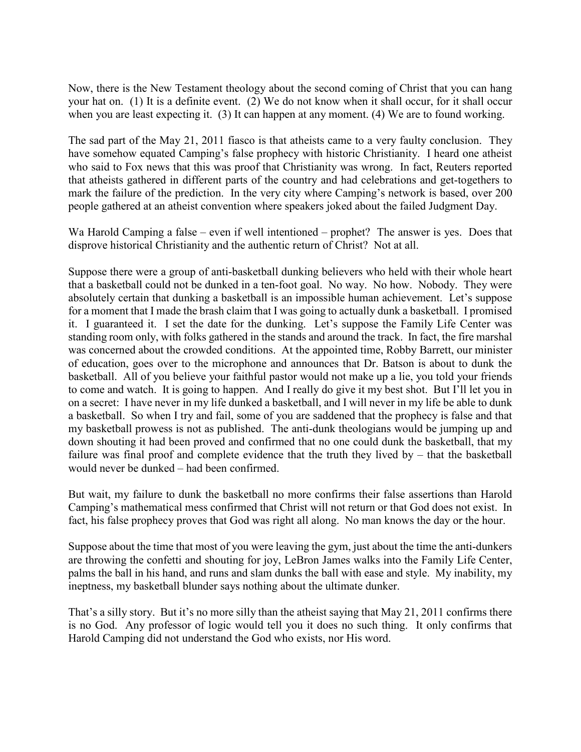Now, there is the New Testament theology about the second coming of Christ that you can hang your hat on. (1) It is a definite event. (2) We do not know when it shall occur, for it shall occur when you are least expecting it. (3) It can happen at any moment. (4) We are to found working.

The sad part of the May 21, 2011 fiasco is that atheists came to a very faulty conclusion. They have somehow equated Camping's false prophecy with historic Christianity. I heard one atheist who said to Fox news that this was proof that Christianity was wrong. In fact, Reuters reported that atheists gathered in different parts of the country and had celebrations and get-togethers to mark the failure of the prediction. In the very city where Camping's network is based, over 200 people gathered at an atheist convention where speakers joked about the failed Judgment Day.

Wa Harold Camping a false – even if well intentioned – prophet? The answer is yes. Does that disprove historical Christianity and the authentic return of Christ? Not at all.

Suppose there were a group of anti-basketball dunking believers who held with their whole heart that a basketball could not be dunked in a ten-foot goal. No way. No how. Nobody. They were absolutely certain that dunking a basketball is an impossible human achievement. Let's suppose for a moment that I made the brash claim that I was going to actually dunk a basketball. I promised it. I guaranteed it. I set the date for the dunking. Let's suppose the Family Life Center was standing room only, with folks gathered in the stands and around the track. In fact, the fire marshal was concerned about the crowded conditions. At the appointed time, Robby Barrett, our minister of education, goes over to the microphone and announces that Dr. Batson is about to dunk the basketball. All of you believe your faithful pastor would not make up a lie, you told your friends to come and watch. It is going to happen. And I really do give it my best shot. But I'll let you in on a secret: I have never in my life dunked a basketball, and I will never in my life be able to dunk a basketball. So when I try and fail, some of you are saddened that the prophecy is false and that my basketball prowess is not as published. The anti-dunk theologians would be jumping up and down shouting it had been proved and confirmed that no one could dunk the basketball, that my failure was final proof and complete evidence that the truth they lived by – that the basketball would never be dunked – had been confirmed.

But wait, my failure to dunk the basketball no more confirms their false assertions than Harold Camping's mathematical mess confirmed that Christ will not return or that God does not exist. In fact, his false prophecy proves that God was right all along. No man knows the day or the hour.

Suppose about the time that most of you were leaving the gym, just about the time the anti-dunkers are throwing the confetti and shouting for joy, LeBron James walks into the Family Life Center, palms the ball in his hand, and runs and slam dunks the ball with ease and style. My inability, my ineptness, my basketball blunder says nothing about the ultimate dunker.

That's a silly story. But it's no more silly than the atheist saying that May 21, 2011 confirms there is no God. Any professor of logic would tell you it does no such thing. It only confirms that Harold Camping did not understand the God who exists, nor His word.